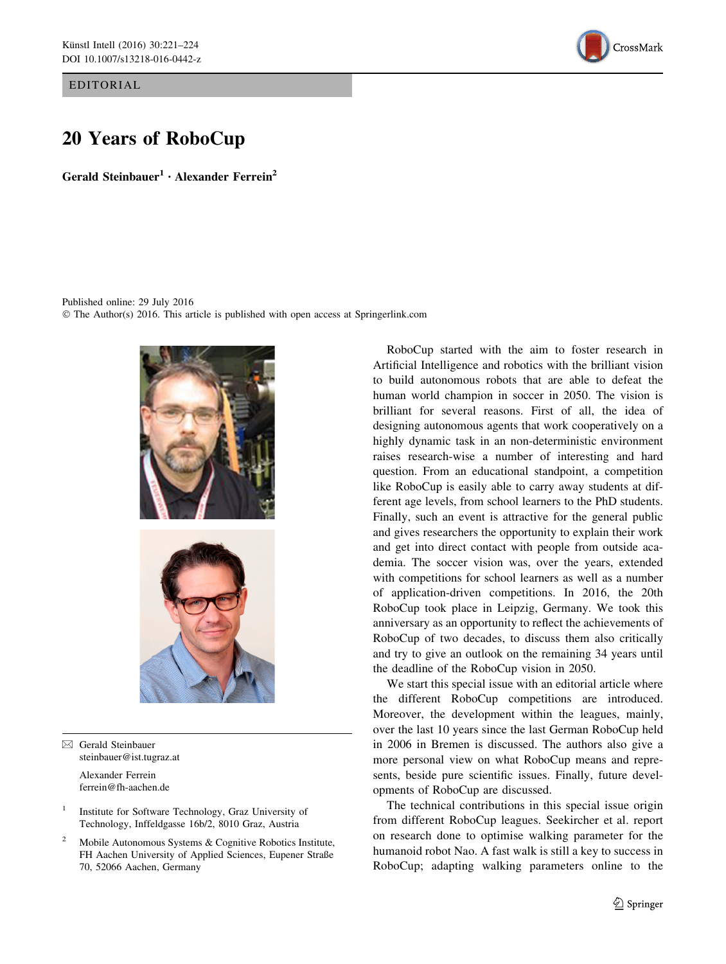EDITORIAL



# 20 Years of RoboCup

Gerald Steinbauer<sup>1</sup> · Alexander Ferrein<sup>2</sup>

Published online: 29 July 2016 © The Author(s) 2016. This article is published with open access at Springerlink.com



 $\boxtimes$  Gerald Steinbauer steinbauer@ist.tugraz.at

> Alexander Ferrein ferrein@fh-aachen.de

- <sup>1</sup> Institute for Software Technology, Graz University of Technology, Inffeldgasse 16b/2, 8010 Graz, Austria
- <sup>2</sup> Mobile Autonomous Systems & Cognitive Robotics Institute, FH Aachen University of Applied Sciences, Eupener Straße 70, 52066 Aachen, Germany

RoboCup started with the aim to foster research in Artificial Intelligence and robotics with the brilliant vision to build autonomous robots that are able to defeat the human world champion in soccer in 2050. The vision is brilliant for several reasons. First of all, the idea of designing autonomous agents that work cooperatively on a highly dynamic task in an non-deterministic environment raises research-wise a number of interesting and hard question. From an educational standpoint, a competition like RoboCup is easily able to carry away students at different age levels, from school learners to the PhD students. Finally, such an event is attractive for the general public and gives researchers the opportunity to explain their work and get into direct contact with people from outside academia. The soccer vision was, over the years, extended with competitions for school learners as well as a number of application-driven competitions. In 2016, the 20th RoboCup took place in Leipzig, Germany. We took this anniversary as an opportunity to reflect the achievements of RoboCup of two decades, to discuss them also critically and try to give an outlook on the remaining 34 years until the deadline of the RoboCup vision in 2050.

We start this special issue with an editorial article where the different RoboCup competitions are introduced. Moreover, the development within the leagues, mainly, over the last 10 years since the last German RoboCup held in 2006 in Bremen is discussed. The authors also give a more personal view on what RoboCup means and represents, beside pure scientific issues. Finally, future developments of RoboCup are discussed.

The technical contributions in this special issue origin from different RoboCup leagues. Seekircher et al. report on research done to optimise walking parameter for the humanoid robot Nao. A fast walk is still a key to success in RoboCup; adapting walking parameters online to the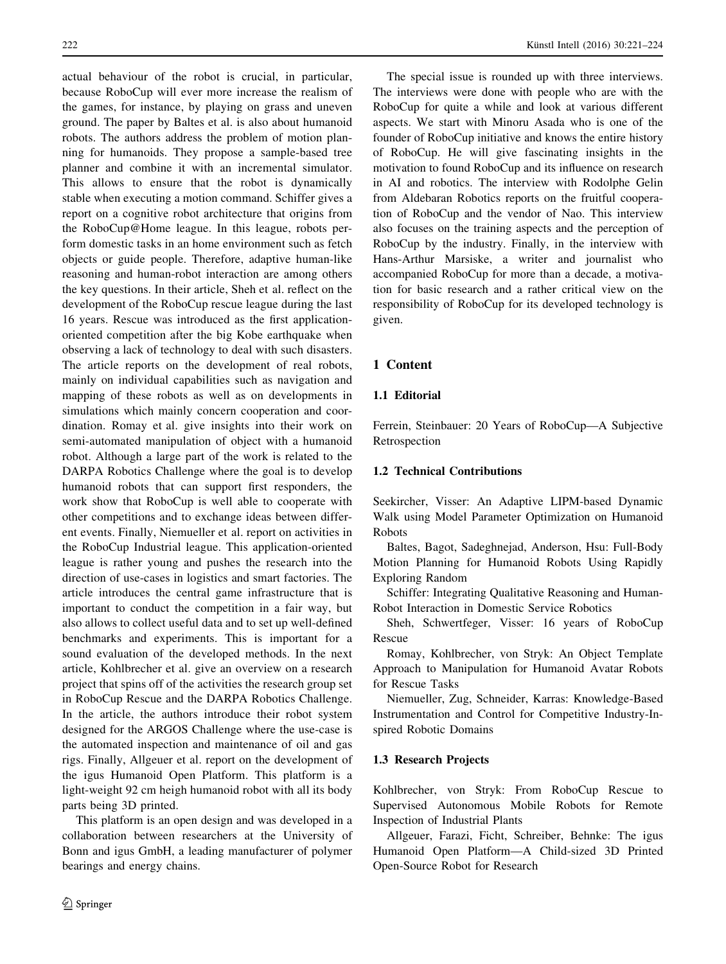actual behaviour of the robot is crucial, in particular, because RoboCup will ever more increase the realism of the games, for instance, by playing on grass and uneven ground. The paper by Baltes et al. is also about humanoid robots. The authors address the problem of motion planning for humanoids. They propose a sample-based tree planner and combine it with an incremental simulator. This allows to ensure that the robot is dynamically stable when executing a motion command. Schiffer gives a report on a cognitive robot architecture that origins from the RoboCup@Home league. In this league, robots perform domestic tasks in an home environment such as fetch objects or guide people. Therefore, adaptive human-like reasoning and human-robot interaction are among others the key questions. In their article, Sheh et al. reflect on the development of the RoboCup rescue league during the last 16 years. Rescue was introduced as the first applicationoriented competition after the big Kobe earthquake when observing a lack of technology to deal with such disasters. The article reports on the development of real robots, mainly on individual capabilities such as navigation and mapping of these robots as well as on developments in simulations which mainly concern cooperation and coordination. Romay et al. give insights into their work on semi-automated manipulation of object with a humanoid robot. Although a large part of the work is related to the DARPA Robotics Challenge where the goal is to develop humanoid robots that can support first responders, the work show that RoboCup is well able to cooperate with other competitions and to exchange ideas between different events. Finally, Niemueller et al. report on activities in the RoboCup Industrial league. This application-oriented league is rather young and pushes the research into the direction of use-cases in logistics and smart factories. The article introduces the central game infrastructure that is important to conduct the competition in a fair way, but also allows to collect useful data and to set up well-defined benchmarks and experiments. This is important for a sound evaluation of the developed methods. In the next article, Kohlbrecher et al. give an overview on a research project that spins off of the activities the research group set in RoboCup Rescue and the DARPA Robotics Challenge. In the article, the authors introduce their robot system designed for the ARGOS Challenge where the use-case is the automated inspection and maintenance of oil and gas rigs. Finally, Allgeuer et al. report on the development of the igus Humanoid Open Platform. This platform is a light-weight 92 cm heigh humanoid robot with all its body parts being 3D printed.

This platform is an open design and was developed in a collaboration between researchers at the University of Bonn and igus GmbH, a leading manufacturer of polymer bearings and energy chains.

The special issue is rounded up with three interviews. The interviews were done with people who are with the RoboCup for quite a while and look at various different aspects. We start with Minoru Asada who is one of the founder of RoboCup initiative and knows the entire history of RoboCup. He will give fascinating insights in the motivation to found RoboCup and its influence on research in AI and robotics. The interview with Rodolphe Gelin from Aldebaran Robotics reports on the fruitful cooperation of RoboCup and the vendor of Nao. This interview also focuses on the training aspects and the perception of RoboCup by the industry. Finally, in the interview with Hans-Arthur Marsiske, a writer and journalist who accompanied RoboCup for more than a decade, a motivation for basic research and a rather critical view on the responsibility of RoboCup for its developed technology is given.

## 1 Content

#### 1.1 Editorial

Ferrein, Steinbauer: 20 Years of RoboCup—A Subjective Retrospection

## 1.2 Technical Contributions

Seekircher, Visser: An Adaptive LIPM-based Dynamic Walk using Model Parameter Optimization on Humanoid Robots

Baltes, Bagot, Sadeghnejad, Anderson, Hsu: Full-Body Motion Planning for Humanoid Robots Using Rapidly Exploring Random

Schiffer: Integrating Qualitative Reasoning and Human-Robot Interaction in Domestic Service Robotics

Sheh, Schwertfeger, Visser: 16 years of RoboCup Rescue

Romay, Kohlbrecher, von Stryk: An Object Template Approach to Manipulation for Humanoid Avatar Robots for Rescue Tasks

Niemueller, Zug, Schneider, Karras: Knowledge-Based Instrumentation and Control for Competitive Industry-Inspired Robotic Domains

#### 1.3 Research Projects

Kohlbrecher, von Stryk: From RoboCup Rescue to Supervised Autonomous Mobile Robots for Remote Inspection of Industrial Plants

Allgeuer, Farazi, Ficht, Schreiber, Behnke: The igus Humanoid Open Platform—A Child-sized 3D Printed Open-Source Robot for Research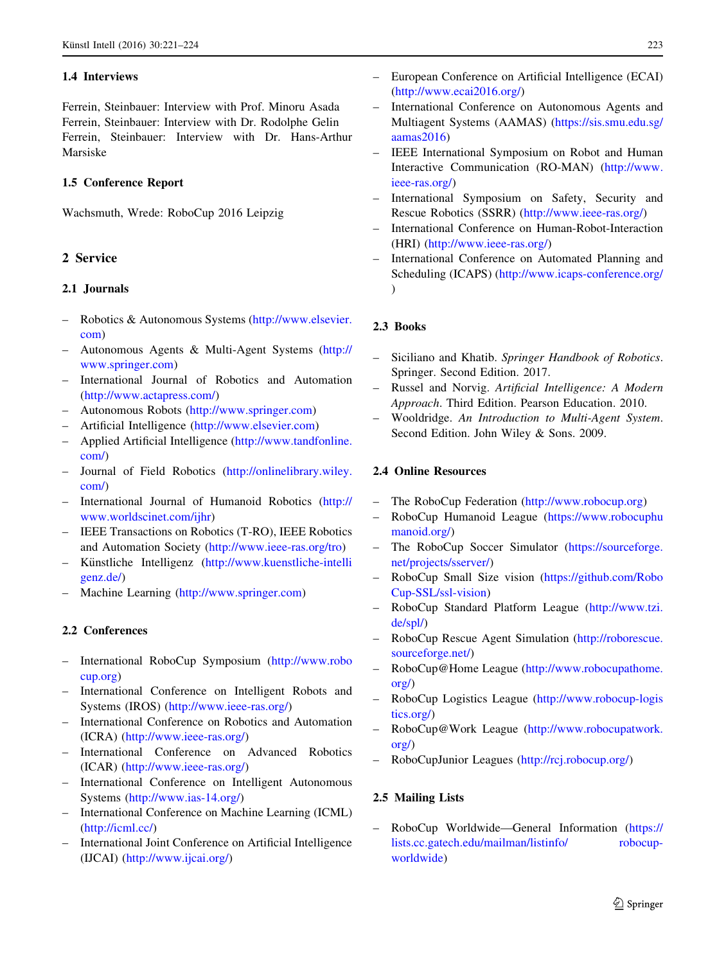# 1.4 Interviews

Ferrein, Steinbauer: Interview with Prof. Minoru Asada Ferrein, Steinbauer: Interview with Dr. Rodolphe Gelin Ferrein, Steinbauer: Interview with Dr. Hans-Arthur Marsiske

## 1.5 Conference Report

Wachsmuth, Wrede: RoboCup 2016 Leipzig

# 2 Service

# 2.1 Journals

- Robotics & Autonomous Systems [\(http://www.elsevier.](http://www.elsevier.com) [com](http://www.elsevier.com))
- Autonomous Agents & Multi-Agent Systems [\(http://](http://www.springer.com) [www.springer.com\)](http://www.springer.com)
- International Journal of Robotics and Automation [\(http://www.actapress.com/\)](http://www.actapress.com/)
- Autonomous Robots (<http://www.springer.com>)
- Artificial Intelligence ([http://www.elsevier.com\)](http://www.elsevier.com)
- Applied Artificial Intelligence ([http://www.tandfonline.](http://www.tandfonline.com/) [com/](http://www.tandfonline.com/))
- Journal of Field Robotics [\(http://onlinelibrary.wiley.](http://onlinelibrary.wiley.com/) [com/](http://onlinelibrary.wiley.com/))
- International Journal of Humanoid Robotics [\(http://](http://www.worldscinet.com/ijhr) [www.worldscinet.com/ijhr](http://www.worldscinet.com/ijhr))
- IEEE Transactions on Robotics (T-RO), IEEE Robotics and Automation Society ([http://www.ieee-ras.org/tro\)](http://www.ieee-ras.org/tro)
- Künstliche Intelligenz ([http://www.kuenstliche-intelli](http://www.kuenstliche-intelligenz.de/) [genz.de/\)](http://www.kuenstliche-intelligenz.de/)
- Machine Learning [\(http://www.springer.com\)](http://www.springer.com)

# 2.2 Conferences

- International RoboCup Symposium ([http://www.robo](http://www.robocup.org) [cup.org](http://www.robocup.org))
- International Conference on Intelligent Robots and Systems (IROS) (<http://www.ieee-ras.org/>)
- International Conference on Robotics and Automation (ICRA) [\(http://www.ieee-ras.org/\)](http://www.ieee-ras.org/)
- International Conference on Advanced Robotics (ICAR) [\(http://www.ieee-ras.org/\)](http://www.ieee-ras.org/)
- International Conference on Intelligent Autonomous Systems (<http://www.ias-14.org/>)
- International Conference on Machine Learning (ICML) [\(http://icml.cc/](http://icml.cc/))
- International Joint Conference on Artificial Intelligence (IJCAI) ([http://www.ijcai.org/\)](http://www.ijcai.org/)
- 
- European Conference on Artificial Intelligence (ECAI) [\(http://www.ecai2016.org/](http://www.ecai2016.org/))
- International Conference on Autonomous Agents and Multiagent Systems (AAMAS) ([https://sis.smu.edu.sg/](https://sis.smu.edu.sg/aamas2016) [aamas2016](https://sis.smu.edu.sg/aamas2016))
- IEEE International Symposium on Robot and Human Interactive Communication (RO-MAN) [\(http://www.](http://www.ieee-ras.org/) [ieee-ras.org/\)](http://www.ieee-ras.org/)
- International Symposium on Safety, Security and Rescue Robotics (SSRR) ([http://www.ieee-ras.org/\)](http://www.ieee-ras.org/)
- International Conference on Human-Robot-Interaction (HRI) (<http://www.ieee-ras.org/>)
- International Conference on Automated Planning and Scheduling (ICAPS) (<http://www.icaps-conference.org/> )

# 2.3 Books

- Siciliano and Khatib. Springer Handbook of Robotics. Springer. Second Edition. 2017.
- Russel and Norvig. Artificial Intelligence: A Modern Approach. Third Edition. Pearson Education. 2010.
- Wooldridge. An Introduction to Multi-Agent System. Second Edition. John Wiley & Sons. 2009.

# 2.4 Online Resources

- The RoboCup Federation [\(http://www.robocup.org\)](http://www.robocup.org)
- RoboCup Humanoid League ([https://www.robocuphu](https://www.robocuphumanoid.org/) [manoid.org/\)](https://www.robocuphumanoid.org/)
- The RoboCup Soccer Simulator ([https://sourceforge.](https://sourceforge.net/projects/sserver/) [net/projects/sserver/\)](https://sourceforge.net/projects/sserver/)
- RoboCup Small Size vision ([https://github.com/Robo](https://github.com/RoboCup-SSL/ssl-vision) [Cup-SSL/ssl-vision](https://github.com/RoboCup-SSL/ssl-vision))
- RoboCup Standard Platform League ([http://www.tzi.](http://www.tzi.de/spl/) [de/spl/\)](http://www.tzi.de/spl/)
- RoboCup Rescue Agent Simulation ([http://roborescue.](http://roborescue.sourceforge.net/) [sourceforge.net/\)](http://roborescue.sourceforge.net/)
- RoboCup@Home League [\(http://www.robocupathome.](http://www.robocupathome.org/) [org/](http://www.robocupathome.org/))
- RoboCup Logistics League ([http://www.robocup-logis](http://www.robocup-logistics.org/) [tics.org/\)](http://www.robocup-logistics.org/)
- RoboCup@Work League [\(http://www.robocupatwork.](http://www.robocupatwork.org/) [org/](http://www.robocupatwork.org/))
- RoboCupJunior Leagues (<http://rcj.robocup.org/>)

# 2.5 Mailing Lists

– RoboCup Worldwide—General Information [\(https://](https://lists.cc.gatech.edu/mailman/listinfo/%20robocup-worldwide) [lists.cc.gatech.edu/mailman/listinfo/ robocup](https://lists.cc.gatech.edu/mailman/listinfo/%20robocup-worldwide)[worldwide\)](https://lists.cc.gatech.edu/mailman/listinfo/%20robocup-worldwide)